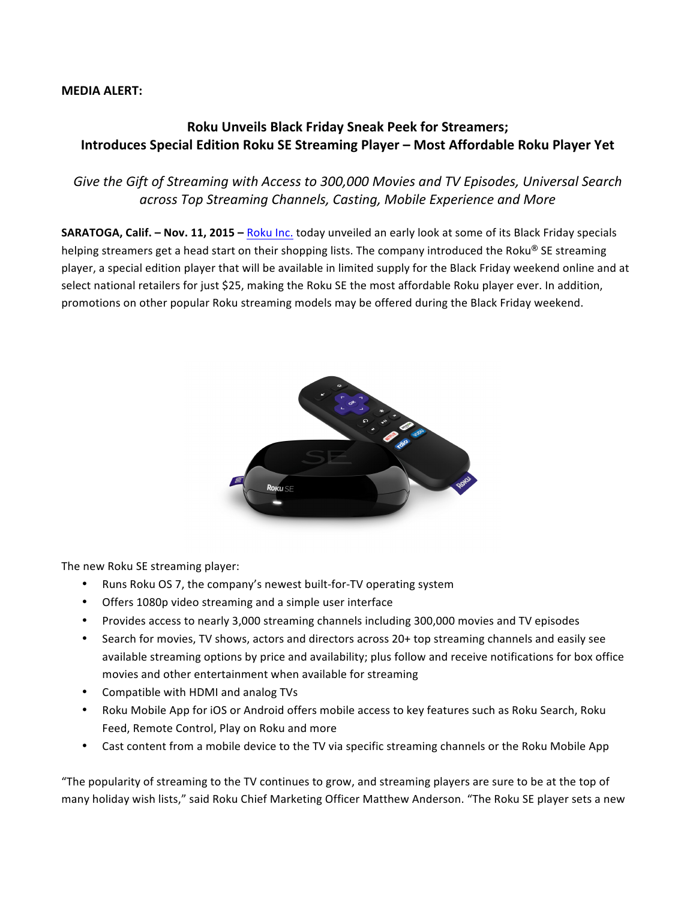## **MEDIA ALERT:**

## **Roku Unveils Black Friday Sneak Peek for Streamers; Introduces Special Edition Roku SE Streaming Player – Most Affordable Roku Player Yet**

## Give the Gift of Streaming with Access to 300,000 Movies and TV Episodes, Universal Search across Top Streaming Channels, Casting, Mobile Experience and More

**SARATOGA, Calif. - Nov. 11, 2015** - Roku Inc. today unveiled an early look at some of its Black Friday specials helping streamers get a head start on their shopping lists. The company introduced the Roku® SE streaming player, a special edition player that will be available in limited supply for the Black Friday weekend online and at select national retailers for just \$25, making the Roku SE the most affordable Roku player ever. In addition, promotions on other popular Roku streaming models may be offered during the Black Friday weekend.



The new Roku SE streaming player:

- Runs Roku OS 7, the company's newest built-for-TV operating system
- Offers 1080p video streaming and a simple user interface
- Provides access to nearly 3,000 streaming channels including 300,000 movies and TV episodes
- Search for movies, TV shows, actors and directors across 20+ top streaming channels and easily see available streaming options by price and availability; plus follow and receive notifications for box office movies and other entertainment when available for streaming
- Compatible with HDMI and analog TVs
- Roku Mobile App for iOS or Android offers mobile access to key features such as Roku Search, Roku Feed, Remote Control, Play on Roku and more
- Cast content from a mobile device to the TV via specific streaming channels or the Roku Mobile App

"The popularity of streaming to the TV continues to grow, and streaming players are sure to be at the top of many holiday wish lists," said Roku Chief Marketing Officer Matthew Anderson. "The Roku SE player sets a new